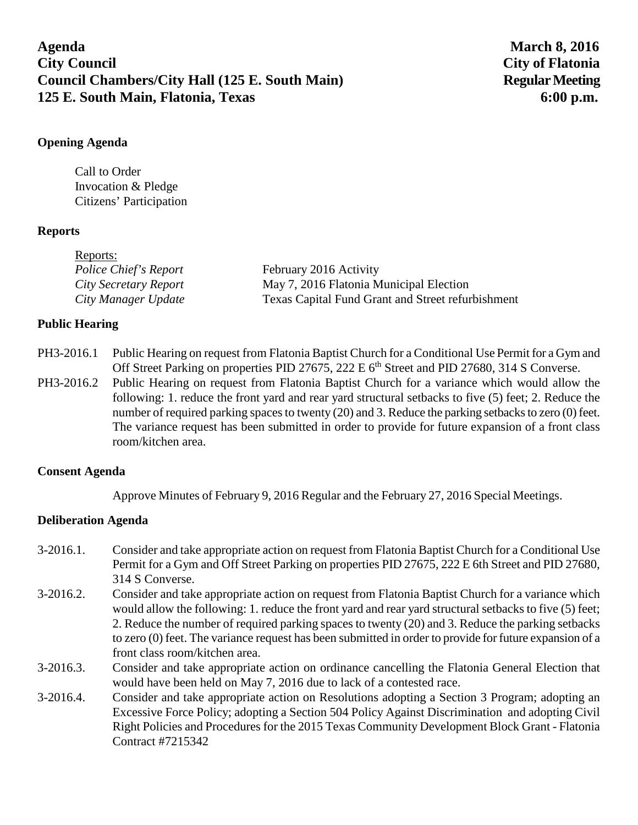# **Agenda March 8, 2016 City Council City of Flatonia**  Council Chambers/City Hall (125 E. South Main) Regular Meeting **125 E. South Main, Flatonia, Texas 6:00 p.m.**

### **Opening Agenda**

Call to Order Invocation & Pledge Citizens' Participation

# **Reports**

| Reports:              |                                                   |
|-----------------------|---------------------------------------------------|
| Police Chief's Report | February 2016 Activity                            |
| City Secretary Report | May 7, 2016 Flatonia Municipal Election           |
| City Manager Update   | Texas Capital Fund Grant and Street refurbishment |

# **Public Hearing**

- PH3-2016.1 Public Hearing on request from Flatonia Baptist Church for a Conditional Use Permit for a Gym and Off Street Parking on properties PID 27675, 222 E  $6<sup>th</sup>$  Street and PID 27680, 314 S Converse.
- PH3-2016.2 Public Hearing on request from Flatonia Baptist Church for a variance which would allow the following: 1. reduce the front yard and rear yard structural setbacks to five (5) feet; 2. Reduce the number of required parking spaces to twenty (20) and 3. Reduce the parking setbacks to zero (0) feet. The variance request has been submitted in order to provide for future expansion of a front class room/kitchen area.

### **Consent Agenda**

Approve Minutes of February 9, 2016 Regular and the February 27, 2016 Special Meetings.

### **Deliberation Agenda**

- 3-2016.1. Consider and take appropriate action on request from Flatonia Baptist Church for a Conditional Use Permit for a Gym and Off Street Parking on properties PID 27675, 222 E 6th Street and PID 27680, 314 S Converse.
- 3-2016.2. Consider and take appropriate action on request from Flatonia Baptist Church for a variance which would allow the following: 1. reduce the front yard and rear yard structural setbacks to five (5) feet; 2. Reduce the number of required parking spaces to twenty (20) and 3. Reduce the parking setbacks to zero (0) feet. The variance request has been submitted in order to provide for future expansion of a front class room/kitchen area.
- 3-2016.3. Consider and take appropriate action on ordinance cancelling the Flatonia General Election that would have been held on May 7, 2016 due to lack of a contested race.
- 3-2016.4. Consider and take appropriate action on Resolutions adopting a Section 3 Program; adopting an Excessive Force Policy; adopting a Section 504 Policy Against Discrimination and adopting Civil Right Policies and Procedures for the 2015 Texas Community Development Block Grant - Flatonia Contract #7215342